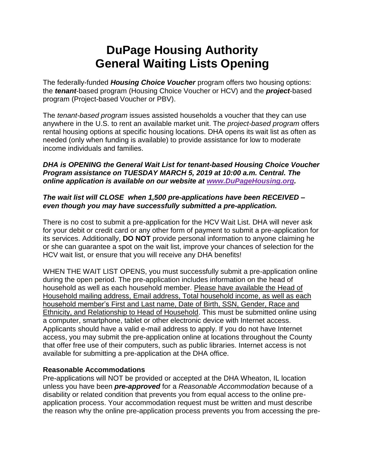# **DuPage Housing Authority General Waiting Lists Opening**

The federally-funded *Housing Choice Voucher* program offers two housing options: the *tenant*-based program (Housing Choice Voucher or HCV) and the *project*-based program (Project-based Voucher or PBV).

The *tenant-based program* issues assisted households a voucher that they can use anywhere in the U.S. to rent an available market unit. The *project-based program* offers rental housing options at specific housing locations. DHA opens its wait list as often as needed (only when funding is available) to provide assistance for low to moderate income individuals and families.

#### *DHA is OPENING the General Wait List for tenant-based Housing Choice Voucher Program assistance on TUESDAY MARCH 5, 2019 at 10:00 a.m. Central. The online application is available on our website at [www.DuPageHousing.org.](http://www.dupagehousing.org/)*

## *The wait list will CLOSE when 1,500 pre-applications have been RECEIVED – even though you may have successfully submitted a pre-application.*

There is no cost to submit a pre-application for the HCV Wait List. DHA will never ask for your debit or credit card or any other form of payment to submit a pre-application for its services. Additionally, **DO NOT** provide personal information to anyone claiming he or she can guarantee a spot on the wait list, improve your chances of selection for the HCV wait list, or ensure that you will receive any DHA benefits!

WHEN THE WAIT LIST OPENS, you must successfully submit a pre-application online during the open period. The pre-application includes information on the head of household as well as each household member. Please have available the Head of Household mailing address, Email address, Total household income, as well as each household member's First and Last name, Date of Birth, SSN, Gender, Race and Ethnicity, and Relationship to Head of Household. This must be submitted online using a computer, smartphone, tablet or other electronic device with Internet access. Applicants should have a valid e-mail address to apply. If you do not have Internet access, you may submit the pre-application online at locations throughout the County that offer free use of their computers, such as public libraries. Internet access is not available for submitting a pre-application at the DHA office.

#### **Reasonable Accommodations**

Pre-applications will NOT be provided or accepted at the DHA Wheaton, IL location unless you have been *pre-approved* for a *Reasonable Accommodation* because of a disability or related condition that prevents you from equal access to the online preapplication process. Your accommodation request must be written and must describe the reason why the online pre-application process prevents you from accessing the pre-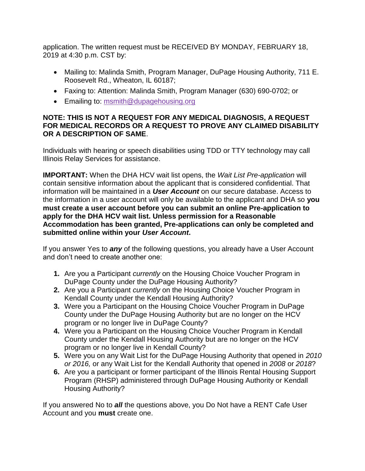application. The written request must be RECEIVED BY MONDAY, FEBRUARY 18, 2019 at 4:30 p.m. CST by:

- Mailing to: Malinda Smith, Program Manager, DuPage Housing Authority, 711 E. Roosevelt Rd., Wheaton, IL 60187;
- Faxing to: Attention: Malinda Smith, Program Manager (630) 690-0702; or
- Emailing to: [msmith@dupagehousing.org](mailto:msmith@dupagehousing.org)

## **NOTE: THIS IS NOT A REQUEST FOR ANY MEDICAL DIAGNOSIS, A REQUEST FOR MEDICAL RECORDS OR A REQUEST TO PROVE ANY CLAIMED DISABILITY OR A DESCRIPTION OF SAME**.

Individuals with hearing or speech disabilities using TDD or TTY technology may call Illinois Relay Services for assistance.

**IMPORTANT:** When the DHA HCV wait list opens, the *Wait List Pre-application* will contain sensitive information about the applicant that is considered confidential. That information will be maintained in a *User Account* on our secure database. Access to the information in a user account will only be available to the applicant and DHA so **you must create a user account before you can submit an online Pre-application to apply for the DHA HCV wait list. Unless permission for a Reasonable Accommodation has been granted, Pre-applications can only be completed and submitted online within your** *User Account***.** 

If you answer Yes to *any* of the following questions, you already have a User Account and don't need to create another one:

- **1.** Are you a Participant *currently* on the Housing Choice Voucher Program in DuPage County under the DuPage Housing Authority?
- **2.** Are you a Participant *currently* on the Housing Choice Voucher Program in Kendall County under the Kendall Housing Authority?
- **3.** Were you a Participant on the Housing Choice Voucher Program in DuPage County under the DuPage Housing Authority but are no longer on the HCV program or no longer live in DuPage County?
- **4.** Were you a Participant on the Housing Choice Voucher Program in Kendall County under the Kendall Housing Authority but are no longer on the HCV program or no longer live in Kendall County?
- **5.** Were you on any Wait List for the DuPage Housing Authority that opened in *2010 or 2016,* or any Wait List for the Kendall Authority that opened in *2008* or *2018*?
- **6.** Are you a participant or former participant of the Illinois Rental Housing Support Program (RHSP) administered through DuPage Housing Authority or Kendall Housing Authority?

If you answered No to *all* the questions above, you Do Not have a RENT Cafe User Account and you **must** create one.